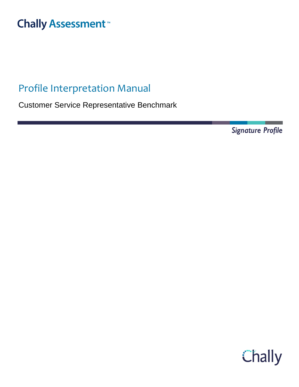# **Chally Assessment**™

## Profile Interpretation Manual

Customer Service Representative Benchmark

Signature Profile

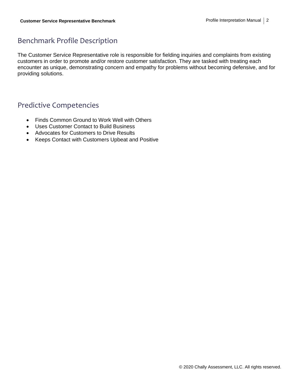## Benchmark Profile Description

The Customer Service Representative role is responsible for fielding inquiries and complaints from existing customers in order to promote and/or restore customer satisfaction. They are tasked with treating each encounter as unique, demonstrating concern and empathy for problems without becoming defensive, and for providing solutions.

## Predictive Competencies

- Finds Common Ground to Work Well with Others
- Uses Customer Contact to Build Business
- Advocates for Customers to Drive Results
- Keeps Contact with Customers Upbeat and Positive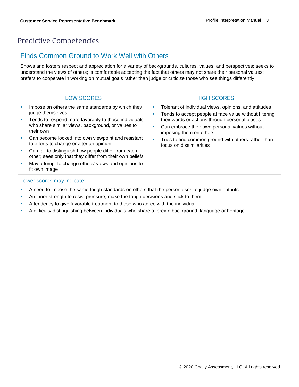## Predictive Competencies

#### Finds Common Ground to Work Well with Others

Shows and fosters respect and appreciation for a variety of backgrounds, cultures, values, and perspectives; seeks to understand the views of others; is comfortable accepting the fact that others may not share their personal values; prefers to cooperate in working on mutual goals rather than judge or criticize those who see things differently

|  | <b>LOW SCORES</b>                                                                                                      |   | <b>HIGH SCORES</b>                                                                                              |  |
|--|------------------------------------------------------------------------------------------------------------------------|---|-----------------------------------------------------------------------------------------------------------------|--|
|  | Impose on others the same standards by which they<br>judge themselves                                                  | ш | Tolerant of individual views, opinions, and attitudes<br>Tends to accept people at face value without filtering |  |
|  | Tends to respond more favorably to those individuals<br>who share similar views, background, or values to<br>their own |   | their words or actions through personal biases                                                                  |  |
|  |                                                                                                                        | ш | Can embrace their own personal values without<br>imposing them on others                                        |  |
|  | Can become locked into own viewpoint and resistant<br>to efforts to change or alter an opinion                         | × | Tries to find common ground with others rather than<br>focus on dissimilarities                                 |  |
|  | Can fail to distinguish how people differ from each<br>other; sees only that they differ from their own beliefs        |   |                                                                                                                 |  |
|  | May attempt to change others' views and opinions to<br>fit own image                                                   |   |                                                                                                                 |  |

- **•** A need to impose the same tough standards on others that the person uses to judge own outputs
- **An inner strength to resist pressure, make the tough decisions and stick to them**
- **EXECT** A tendency to give favorable treatment to those who agree with the individual
- **•** A difficulty distinguishing between individuals who share a foreign background, language or heritage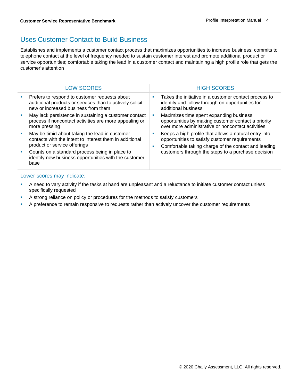## Uses Customer Contact to Build Business

Establishes and implements a customer contact process that maximizes opportunities to increase business; commits to telephone contact at the level of frequency needed to sustain customer interest and promote additional product or service opportunities; comfortable taking the lead in a customer contact and maintaining a high profile role that gets the customer's attention

|    | <b>LOW SCORES</b>                                                                                                                                | <b>HIGH SCORES</b>                                                                                                                                              |
|----|--------------------------------------------------------------------------------------------------------------------------------------------------|-----------------------------------------------------------------------------------------------------------------------------------------------------------------|
| I. | Prefers to respond to customer requests about<br>additional products or services than to actively solicit<br>new or increased business from them | Takes the initiative in a customer contact process to<br>identify and follow through on opportunities for<br>additional business                                |
| ш  | May lack persistence in sustaining a customer contact<br>process if noncontact activities are more appealing or<br>more pressing                 | Maximizes time spent expanding business<br>opportunities by making customer contact a priority<br>over more administrative or noncontact activities             |
| ×  | May be timid about taking the lead in customer<br>contacts with the intent to interest them in additional<br>product or service offerings        | Keeps a high profile that allows a natural entry into<br>opportunities to satisfy customer requirements<br>Comfortable taking charge of the contact and leading |
| ш  | Counts on a standard process being in place to<br>identify new business opportunities with the customer<br>base                                  | customers through the steps to a purchase decision                                                                                                              |

- **•** A need to vary activity if the tasks at hand are unpleasant and a reluctance to initiate customer contact unless specifically requested
- A strong reliance on policy or procedures for the methods to satisfy customers
- **EXECT** A preference to remain responsive to requests rather than actively uncover the customer requirements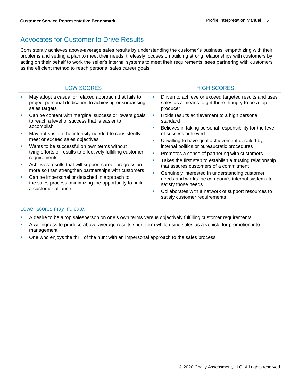#### Advocates for Customer to Drive Results

Consistently achieves above-average sales results by understanding the customer's business, empathizing with their problems and setting a plan to meet their needs; tirelessly focuses on building strong relationships with customers by acting on their behalf to work the seller's internal systems to meet their requirements; sees partnering with customers as the efficient method to reach personal sales career goals

| <b>LOW SCORES</b><br><b>HIGH SCORES</b><br>May adopt a casual or relaxed approach that fails to<br>Driven to achieve or exceed targeted results and uses<br>×<br>ш<br>project personal dedication to achieving or surpassing<br>sales as a means to get there; hungry to be a top<br>sales targets<br>producer<br>Can be content with marginal success or lowers goals<br>Holds results achievement to a high personal<br>×<br>ш<br>to reach a level of success that is easier to<br>standard<br>accomplish<br>Believes in taking personal responsibility for the level<br>of success achieved<br>May not sustain the intensity needed to consistently<br>×<br>meet or exceed sales objectives<br>Unwilling to have goal achievement derailed by<br>ш<br>Wants to be successful on own terms without<br>internal politics or bureaucratic procedures<br>п<br>tying efforts or results to effectively fulfilling customer<br>Promotes a sense of partnering with customers<br>ш<br>requirements<br>Takes the first step to establish a trusting relationship<br>×<br>Achieves results that will support career progression<br>×<br>that assures customers of a commitment<br>more so than strengthen partnerships with customers<br>Genuinely interested in understanding customer<br>×<br>Can be impersonal or detached in approach to<br>п<br>needs and works the company's internal systems to<br>the sales process, minimizing the opportunity to build<br>satisfy those needs<br>a customer alliance<br>Collaborates with a network of support resources to<br>ш<br>satisfy customer requirements |  |  |
|-------------------------------------------------------------------------------------------------------------------------------------------------------------------------------------------------------------------------------------------------------------------------------------------------------------------------------------------------------------------------------------------------------------------------------------------------------------------------------------------------------------------------------------------------------------------------------------------------------------------------------------------------------------------------------------------------------------------------------------------------------------------------------------------------------------------------------------------------------------------------------------------------------------------------------------------------------------------------------------------------------------------------------------------------------------------------------------------------------------------------------------------------------------------------------------------------------------------------------------------------------------------------------------------------------------------------------------------------------------------------------------------------------------------------------------------------------------------------------------------------------------------------------------------------------------------------------------------------------|--|--|
|                                                                                                                                                                                                                                                                                                                                                                                                                                                                                                                                                                                                                                                                                                                                                                                                                                                                                                                                                                                                                                                                                                                                                                                                                                                                                                                                                                                                                                                                                                                                                                                                       |  |  |
|                                                                                                                                                                                                                                                                                                                                                                                                                                                                                                                                                                                                                                                                                                                                                                                                                                                                                                                                                                                                                                                                                                                                                                                                                                                                                                                                                                                                                                                                                                                                                                                                       |  |  |
|                                                                                                                                                                                                                                                                                                                                                                                                                                                                                                                                                                                                                                                                                                                                                                                                                                                                                                                                                                                                                                                                                                                                                                                                                                                                                                                                                                                                                                                                                                                                                                                                       |  |  |
|                                                                                                                                                                                                                                                                                                                                                                                                                                                                                                                                                                                                                                                                                                                                                                                                                                                                                                                                                                                                                                                                                                                                                                                                                                                                                                                                                                                                                                                                                                                                                                                                       |  |  |
|                                                                                                                                                                                                                                                                                                                                                                                                                                                                                                                                                                                                                                                                                                                                                                                                                                                                                                                                                                                                                                                                                                                                                                                                                                                                                                                                                                                                                                                                                                                                                                                                       |  |  |
|                                                                                                                                                                                                                                                                                                                                                                                                                                                                                                                                                                                                                                                                                                                                                                                                                                                                                                                                                                                                                                                                                                                                                                                                                                                                                                                                                                                                                                                                                                                                                                                                       |  |  |

- A desire to be a top salesperson on one's own terms versus objectively fulfilling customer requirements
- **•** A willingness to produce above-average results short-term while using sales as a vehicle for promotion into management
- **•** One who enjoys the thrill of the hunt with an impersonal approach to the sales process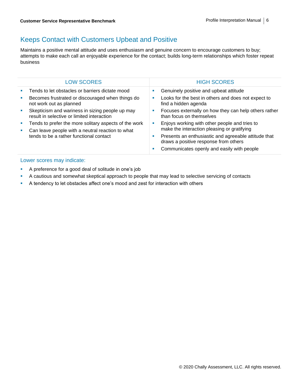## Keeps Contact with Customers Upbeat and Positive

Maintains a positive mental attitude and uses enthusiasm and genuine concern to encourage customers to buy; attempts to make each call an enjoyable experience for the contact; builds long-term relationships which foster repeat business

| <b>LOW SCORES</b>                                                                                         | <b>HIGH SCORES</b>                                                                                 |
|-----------------------------------------------------------------------------------------------------------|----------------------------------------------------------------------------------------------------|
| Tends to let obstacles or barriers dictate mood                                                           | Genuinely positive and upbeat attitude                                                             |
| Becomes frustrated or discouraged when things do<br>not work out as planned                               | Looks for the best in others and does not expect to<br>ш<br>find a hidden agenda                   |
| Skepticism and wariness in sizing people up may<br>result in selective or limited interaction             | Focuses externally on how they can help others rather<br>ш<br>than focus on themselves             |
| Tends to prefer the more solitary aspects of the work<br>Can leave people with a neutral reaction to what | Enjoys working with other people and tries to<br>ш<br>make the interaction pleasing or gratifying  |
| tends to be a rather functional contact                                                                   | Presents an enthusiastic and agreeable attitude that<br>ш<br>draws a positive response from others |
|                                                                                                           | Communicates openly and easily with people<br>ш                                                    |

- A preference for a good deal of solitude in one's job
- **•** A cautious and somewhat skeptical approach to people that may lead to selective servicing of contacts
- A tendency to let obstacles affect one's mood and zest for interaction with others